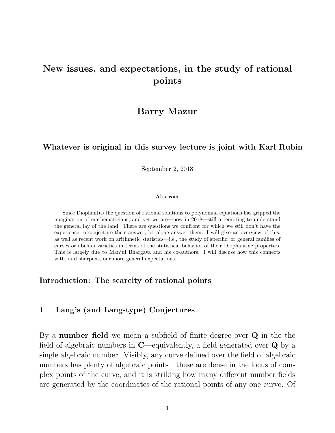## New issues, and expectations, in the study of rational points

### Barry Mazur

#### Whatever is original in this survey lecture is joint with Karl Rubin

September 2, 2018

#### Abstract

Since Diophantus the question of rational solutions to polynomial equations has gripped the imagination of mathematicians, and yet we are—now in 2018—still attempting to understand the general lay of the land. There are questions we confront for which we still don't have the experience to conjecture their answer, let alone answer them. I will give an overview of this, as well as recent work on arithmetic statistics—i.e., the study of specific, or general families of curves or abelian varieties in terms of the statistical behavior of their Diophantine properties. This is largely due to Manjul Bhargava and his co-authors. I will discuss how this connects with, and sharpens, our more general expectations.

#### Introduction: The scarcity of rational points

#### 1 Lang's (and Lang-type) Conjectures

By a number field we mean a subfield of finite degree over Q in the the field of algebraic numbers in  $\mathbb{C}$ —equivalently, a field generated over  $\mathbb{Q}$  by a single algebraic number. Visibly, any curve defined over the field of algebraic numbers has plenty of algebraic points—these are dense in the locus of complex points of the curve, and it is striking how many different number fields are generated by the coordinates of the rational points of any one curve. Of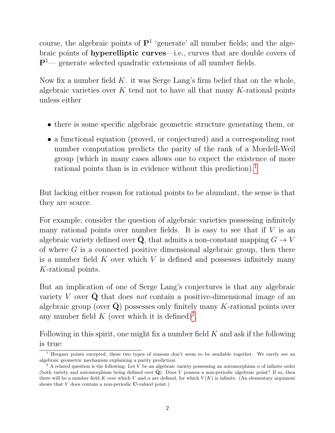course, the algebraic points of  $\mathbf{P}^1$  'generate' all number fields; and the algebraic points of hyperelliptic curves—i.e., curves that are double covers of  $\mathbf{P}^{1}$ — generate selected quadratic extensions of all number fields.

Now fix a number field  $K$ . it was Serge Lang's firm belief that on the whole, algebraic varieties over  $K$  tend not to have all that many  $K$ -rational points unless either

- there is some specific algebraic geometric structure generating them, or
- a functional equation (proved, or conjectured) and a corresponding root number computation predicts the parity of the rank of a Mordell-Weil group (which in many cases allows one to expect the existence of more rational points than is in evidence without this prediction).<sup>[1](#page-1-0)</sup>

But lacking either reason for rational points to be abundant, the sense is that they are scarce.

For example, consider the question of algebraic varieties possessing infinitely many rational points over number fields. It is easy to see that if  $V$  is an algebraic variety defined over  $\bar{Q}$ , that admits a non-constant mapping  $G \to V$ of where  $G$  is a connected positive dimensional algebraic group, then there is a number field  $K$  over which  $V$  is defined and possesses infinitely many K-rational points.

But an implication of one of Serge Lang's conjectures is that any algebraic variety V over  $Q$  that does not contain a positive-dimensional image of an algebraic group (over  $\bar{\mathbf{Q}}$ ) possesses only finitely many K-rational points over any number field K (over which it is defined)<sup>[2](#page-1-1)</sup>.

Following in this spirit, one might fix a number field  $K$  and ask if the following is true:

<span id="page-1-0"></span> $1$  Heegner points excepted, these two types of reasons don't seem to be available together. We rarely see an algebraic geometric mechanism explaining a parity prediction.

<span id="page-1-1"></span><sup>&</sup>lt;sup>2</sup> A related question is the following: Let V be an algebraic variety possessing an automorphism  $\alpha$  of infinite order (both variety and automorphism being defined over  $\bar{Q}$ ). Does V possess a non-periodic algebraic point? If so, then there will be a number field K over which V and  $\alpha$  are defined, for which  $V(K)$  is infinite. (An elementary argument shows that V does contain a non-periodic C-valued point.)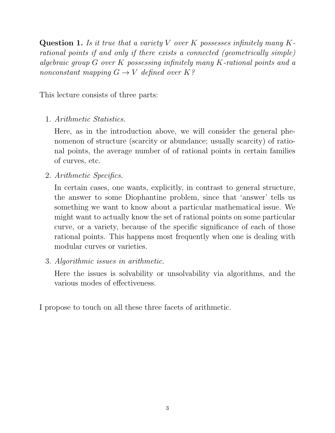**Question 1.** Is it true that a variety V over K possesses infinitely many Krational points if and only if there exists a connected (geometrically simple) algebraic group G over K possessing infinitely many K-rational points and a nonconstant mapping  $G \to V$  defined over  $K$ ?

This lecture consists of three parts:

1. Arithmetic Statistics.

Here, as in the introduction above, we will consider the general phenomenon of structure (scarcity or abundance; usually scarcity) of rational points, the average number of of rational points in certain families of curves, etc.

2. Arithmetic Specifics.

In certain cases, one wants, explicitly, in contrast to general structure, the answer to some Diophantine problem, since that 'answer' tells us something we want to know about a particular mathematical issue. We might want to actually know the set of rational points on some particular curve, or a variety, because of the specific significance of each of those rational points. This happens most frequently when one is dealing with modular curves or varieties.

3. Algorithmic issues in arithmetic.

Here the issues is solvability or unsolvability via algorithms, and the various modes of effectiveness.

I propose to touch on all these three facets of arithmetic.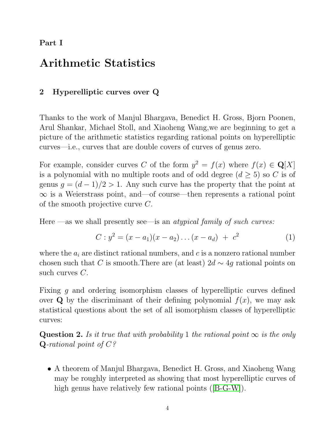Part I

## Arithmetic Statistics

### 2 Hyperelliptic curves over Q

Thanks to the work of Manjul Bhargava, Benedict H. Gross, Bjorn Poonen, Arul Shankar, Michael Stoll, and Xiaoheng Wang,we are beginning to get a picture of the arithmetic statistics regarding rational points on hyperelliptic curves—i.e., curves that are double covers of curves of genus zero.

For example, consider curves C of the form  $y^2 = f(x)$  where  $f(x) \in \mathbf{Q}[X]$ is a polynomial with no multiple roots and of odd degree  $(d \geq 5)$  so C is of genus  $g = (d-1)/2 > 1$ . Any such curve has the property that the point at ∞ is a Weierstrass point, and—of course—then represents a rational point of the smooth projective curve C.

Here —as we shall presently see—is an *atypical family of such curves:* 

<span id="page-3-0"></span>
$$
C: y2 = (x - a1)(x - a2) \dots (x - ad) + c2
$$
 (1)

where the  $a_i$  are distinct rational numbers, and c is a nonzero rational number chosen such that C is smooth. There are (at least)  $2d \sim 4g$  rational points on such curves C.

Fixing g and ordering isomorphism classes of hyperelliptic curves defined over **Q** by the discriminant of their defining polynomial  $f(x)$ , we may ask statistical questions about the set of all isomorphism classes of hyperelliptic curves:

Question 2. Is it true that with probability 1 the rational point  $\infty$  is the only  $Q$ -rational point of  $C$ ?

• A theorem of Manjul Bhargava, Benedict H. Gross, and Xiaoheng Wang may be roughly interpreted as showing that most hyperelliptic curves of high genus have relatively few rational points ([\[B-G-W\]](#page-15-0)).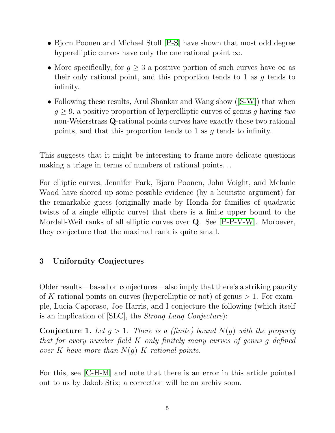- Bjorn Poonen and Michael Stoll [\[P-S\]](#page-16-0) have shown that most odd degree hyperelliptic curves have only the one rational point  $\infty$ .
- More specifically, for  $g \geq 3$  a positive portion of such curves have  $\infty$  as their only rational point, and this proportion tends to 1 as  $q$  tends to infinity.
- Following these results, Arul Shankar and Wang show ([\[S-W\]](#page-16-1)) that when  $q \geq 9$ , a positive proportion of hyperelliptic curves of genus q having two non-Weierstrass Q-rational points curves have exactly those two rational points, and that this proportion tends to 1 as g tends to infinity.

This suggests that it might be interesting to frame more delicate questions making a triage in terms of numbers of rational points. . .

For elliptic curves, Jennifer Park, Bjorn Poonen, John Voight, and Melanie Wood have shored up some possible evidence (by a heuristic argument) for the remarkable guess (originally made by Honda for families of quadratic twists of a single elliptic curve) that there is a finite upper bound to the Mordell-Weil ranks of all elliptic curves over Q. See [\[P-P-V-W\]](#page-16-2). Moroever, they conjecture that the maximal rank is quite small.

## <span id="page-4-1"></span>3 Uniformity Conjectures

Older results—based on conjectures—also imply that there's a striking paucity of K-rational points on curves (hyperelliptic or not) of genus  $> 1$ . For example, Lucia Caporaso, Joe Harris, and I conjecture the following (which itself is an implication of [SLC], the Strong Lang Conjecture):

<span id="page-4-0"></span>**Conjecture 1.** Let  $q > 1$ . There is a (finite) bound  $N(q)$  with the property that for every number field K only finitely many curves of genus g defined over K have more than  $N(g)$  K-rational points.

For this, see [\[C-H-M\]](#page-15-1) and note that there is an error in this article pointed out to us by Jakob Stix; a correction will be on archiv soon.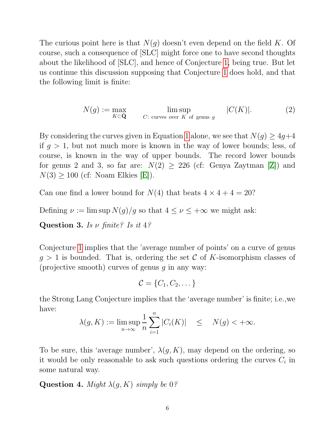The curious point here is that  $N(g)$  doesn't even depend on the field K. Of course, such a consequence of [SLC] might force one to have second thoughts about the likelihood of [SLC], and hence of Conjecture [1,](#page-4-0) being true. But let us continue this discussion supposing that Conjecture [1](#page-4-0) does hold, and that the following limit is finite:

<span id="page-5-0"></span>
$$
N(g) := \max_{K \subset \bar{\mathbf{Q}}} \qquad \limsup_{C: \text{ curves over } K \text{ of genus } g} \qquad |C(K)|. \tag{2}
$$

By considering the curves given in Equation [1](#page-3-0) alone, we see that  $N(q) \geq 4q+4$ if  $g > 1$ , but not much more is known in the way of lower bounds; less, of course, is known in the way of upper bounds. The record lower bounds for genus 2 and 3, so far are:  $N(2) \geq 226$  (cf: Genya Zaytman [\[Z\]](#page-16-3)) and  $N(3) \geq 100$  (cf: Noam Elkies [\[E\]](#page-15-2)).

Can one find a lower bound for  $N(4)$  that beats  $4 \times 4 + 4 = 20$ ?

Defining  $\nu := \limsup N(g)/g$  so that  $4 \leq \nu \leq +\infty$  we might ask:

Question 3. Is  $\nu$  finite? Is it 4?

Conjecture [1](#page-4-0) implies that the 'average number of points' on a curve of genus  $g > 1$  is bounded. That is, ordering the set C of K-isomorphism classes of (projective smooth) curves of genus  $q$  in any way:

 $C = \{C_1, C_2, \dots\}$ 

the Strong Lang Conjecture implies that the 'average number' is finite; i.e.,we have:

$$
\lambda(g, K) := \limsup_{n \to \infty} \frac{1}{n} \sum_{i=1}^{n} |C_i(K)| \leq N(g) < +\infty.
$$

To be sure, this 'average number',  $\lambda(g, K)$ , may depend on the ordering, so it would be only reasonable to ask such questions ordering the curves  $C_i$  in some natural way.

Question 4. Might  $\lambda(g, K)$  simply be 0?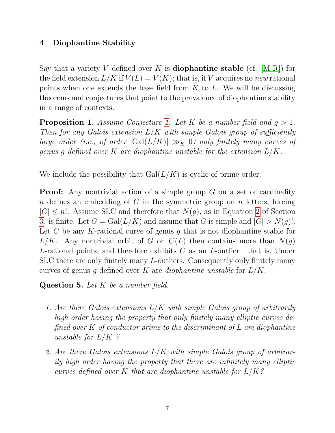### 4 Diophantine Stability

Say that a variety V defined over K is **diophantine stable** (cf.  $|M-R|$ ) for the field extension  $L/K$  if  $V(L) = V(K)$ ; that is, if V acquires no new rational points when one extends the base field from  $K$  to  $L$ . We will be discussing theorems and conjectures that point to the prevalence of diophantine stability in a range of contexts.

<span id="page-6-0"></span>**Proposition [1.](#page-4-0)** Assume Conjecture 1. Let K be a number field and  $g > 1$ . Then for any Galois extension  $L/K$  with simple Galois group of sufficiently large order (i.e., of order  $|Gal(L/K)| \gg_K 0$ ) only finitely many curves of genus g defined over K are diophantine unstable for the extension  $L/K$ .

We include the possibility that  $Gal(L/K)$  is cyclic of prime order.

**Proof:** Any nontrivial action of a simple group  $G$  on a set of cardinality n defines an embedding of G in the symmetric group on n letters, forcing  $|G| \leq n!$ . Assume SLC and therefore that  $N(g)$ , as in Equation [2](#page-5-0) of Section [3.](#page-4-1) is finite. Let  $G = \text{Gal}(L/K)$  and assume that G is simple and  $|G| > N(g)!$ . Let C be any K-rational curve of genus g that is not diophantine stable for  $L/K$ . Any nontrivial orbit of G on  $C(L)$  then contains more than  $N(q)$ L-rational points, and therefore exhibits  $C$  as an L-outlier—that is, Under SLC there are only finitely many L-outliers. Consequently only finitely many curves of genus q defined over K are *diophantine unstable* for  $L/K$ .

Question 5. Let K be a number field.

- 1. Are there Galois extensions L/K with simple Galois group of arbitrarily high order having the property that only finitely many elliptic curves defined over  $K$  of conductor prime to the discriminant of  $L$  are diophantine unstable for  $L/K$ ?
- 2. Are there Galois extensions  $L/K$  with simple Galois group of arbitrarily high order having the property that there are infinitely many elliptic curves defined over K that are diophantine unstable for  $L/K$ ?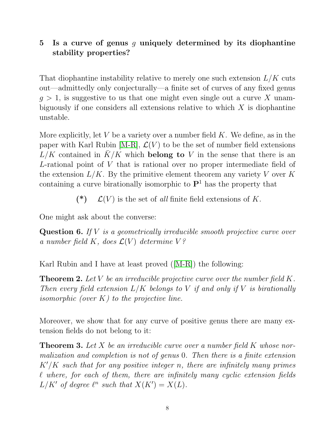## 5 Is a curve of genus  $g$  uniquely determined by its diophantine stability properties?

That diophantine instability relative to merely one such extension  $L/K$  cuts out—admittedly only conjecturally—a finite set of curves of any fixed genus  $q > 1$ , is suggestive to us that one might even single out a curve X unambiguously if one considers all extensions relative to which  $X$  is diophantine unstable.

More explicitly, let V be a variety over a number field  $K$ . We define, as in the paper with Karl Rubin [\[M-R\]](#page-15-3),  $\mathcal{L}(V)$  to be the set of number field extensions  $L/K$  contained in  $\bar{K}/K$  which belong to V in the sense that there is an L-rational point of V that is rational over no proper intermediate field of the extension  $L/K$ . By the primitive element theorem any variety V over K containing a curve birationally isomorphic to  $\mathbf{P}^1$  has the property that

(\*)  $\mathcal{L}(V)$  is the set of all finite field extensions of K.

One might ask about the converse:

**Question 6.** If  $V$  is a geometrically irreducible smooth projective curve over a number field K, does  $\mathcal{L}(V)$  determine  $V$ ?

Karl Rubin and I have at least proved ([\[M-R\]](#page-15-3)) the following:

**Theorem 2.** Let V be an irreducible projective curve over the number field  $K$ . Then every field extension  $L/K$  belongs to V if and only if V is birationally *isomorphic (over K) to the projective line.* 

Moreover, we show that for any curve of positive genus there are many extension fields do not belong to it:

**Theorem 3.** Let X be an irreducible curve over a number field K whose normalization and completion is not of genus 0. Then there is a finite extension  $K'/K$  such that for any positive integer n, there are infinitely many primes  $\ell$  where, for each of them, there are infinitely many cyclic extension fields  $L/K'$  of degree  $\ell^n$  such that  $X(K') = X(L)$ .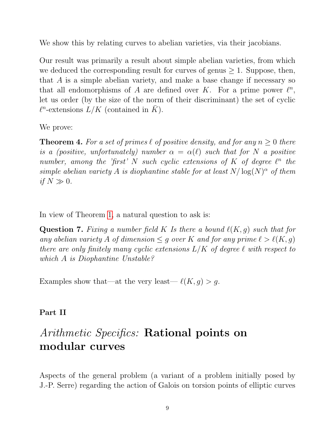We show this by relating curves to abelian varieties, via their jacobians.

Our result was primarily a result about simple abelian varieties, from which we deduced the corresponding result for curves of genus  $\geq 1$ . Suppose, then, that A is a simple abelian variety, and make a base change if necessary so that all endomorphisms of A are defined over K. For a prime power  $\ell^n$ , let us order (by the size of the norm of their discriminant) the set of cyclic  $\ell^n$ -extensions  $L/K$  (contained in  $\overline{K}$ ).

We prove:

**Theorem 4.** For a set of primes  $\ell$  of positive density, and for any  $n \geq 0$  there is a (positive, unfortunately) number  $\alpha = \alpha(\ell)$  such that for N a positive number, among the 'first' N such cyclic extensions of K of degree  $\ell^n$  the simple abelian variety A is diophantine stable for at least  $N/\log(N)^{\alpha}$  of them if  $N \gg 0$ .

In view of Theorem [1,](#page-6-0) a natural question to ask is:

**Question 7.** Fixing a number field K Is there a bound  $\ell(K, q)$  such that for any abelian variety A of dimension  $\leq g$  over K and for any prime  $\ell > \ell(K, g)$ there are only finitely many cyclic extensions  $L/K$  of degree  $\ell$  with respect to which A is Diophantine Unstable?

Examples show that—at the very least— $\ell(K, g) > g$ .

#### Part II

# Arithmetic Specifics: Rational points on modular curves

Aspects of the general problem (a variant of a problem initially posed by J.-P. Serre) regarding the action of Galois on torsion points of elliptic curves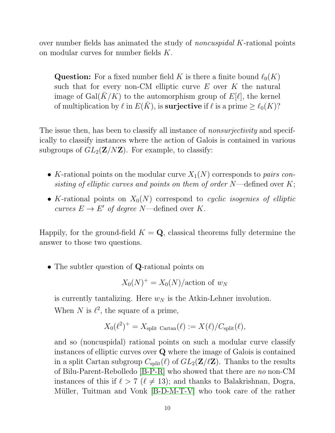over number fields has animated the study of *noncuspidal K*-rational points on modular curves for number fields K.

**Question:** For a fixed number field K is there a finite bound  $\ell_0(K)$ such that for every non-CM elliptic curve  $E$  over  $K$  the natural image of Gal( $K/K$ ) to the automorphism group of  $E[\ell]$ , the kernel of multiplication by  $\ell$  in  $E(\bar{K})$ , is **surjective** if  $\ell$  is a prime  $\geq \ell_0(K)$ ?

The issue then, has been to classify all instance of *nonsurjectivity* and specifically to classify instances where the action of Galois is contained in various subgroups of  $GL_2(\mathbf{Z}/N\mathbf{Z})$ . For example, to classify:

- K-rational points on the modular curve  $X_1(N)$  corresponds to pairs consisting of elliptic curves and points on them of order  $N$ —defined over  $K$ ;
- K-rational points on  $X_0(N)$  correspond to cyclic isogenies of elliptic curves  $E \to E'$  of degree N—defined over K.

Happily, for the ground-field  $K = \mathbf{Q}$ , classical theorems fully determine the answer to those two questions.

• The subtler question of **Q**-rational points on

$$
X_0(N)^+ = X_0(N)/\text{action of } w_N
$$

is currently tantalizing. Here  $w_N$  is the Atkin-Lehner involution. When N is  $\ell^2$ , the square of a prime,

$$
X_0(\ell^2)^+ = X_{\text{split Cartan}}(\ell) := X(\ell)/C_{\text{split}}(\ell),
$$

and so (noncuspidal) rational points on such a modular curve classify instances of elliptic curves over Q where the image of Galois is contained in a split Cartan subgroup  $C_{split}(\ell)$  of  $GL_2(\mathbf{Z}/\ell\mathbf{Z})$ . Thanks to the results of Bilu-Parent-Rebolledo [\[B-P-R\]](#page-15-4) who showed that there are no non-CM instances of this if  $\ell > 7$  ( $\ell \neq 13$ ); and thanks to Balakrishnan, Dogra, Müller, Tuitman and Vonk [\[B-D-M-T-V\]](#page-15-5) who took care of the rather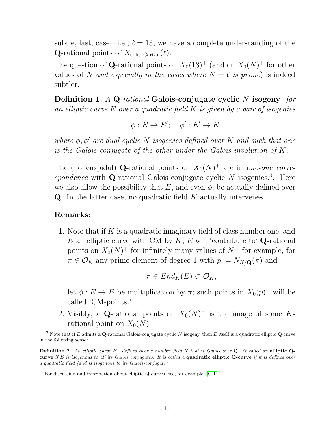subtle, last, case—i.e.,  $\ell = 13$ , we have a complete understanding of the **Q**-rational points of  $X_{split \text{ Cartan}}(\ell)$ .

The question of **Q**-rational points on  $X_0(13)^+$  (and on  $X_0(N)^+$  for other values of N and especially in the cases where  $N = \ell$  is prime) is indeed subtler.

Definition 1. A Q-rational Galois-conjugate cyclic N isogeny for an elliptic curve  $E$  over a quadratic field  $K$  is given by a pair of isogenies

$$
\phi: E \to E'; \quad \phi': E' \to E
$$

where  $\phi$ ,  $\phi'$  are dual cyclic N isogenies defined over K and such that one is the Galois conjugate of the other under the Galois involution of K.

The (noncuspidal) **Q**-rational points on  $X_0(N)^+$  are in one-one correspondence with  $Q$ -rational Galois-conjugate cyclic  $N$  isogenies.<sup>[3](#page-10-0)</sup>. Here we also allow the possibility that  $E$ , and even  $\phi$ , be actually defined over  $Q$ . In the latter case, no quadratic field K actually intervenes.

#### Remarks:

1. Note that if K is a quadratic imaginary field of class number one, and  $E$  an elliptic curve with CM by  $K, E$  will 'contribute to' **Q**-rational points on  $X_0(N)^+$  for infinitely many values of N—for example, for  $\pi \in \mathcal{O}_K$  any prime element of degree 1 with  $p := N_{K/\mathbf{Q}}(\pi)$  and

$$
\pi \in End_K(E) \subset \mathcal{O}_K,
$$

let  $\phi: E \to E$  be multiplication by  $\pi$ ; such points in  $X_0(p)^+$  will be called 'CM-points.'

2. Visibly, a Q-rational points on  $X_0(N)^+$  is the image of some Krational point on  $X_0(N)$ .

<span id="page-10-0"></span><sup>&</sup>lt;sup>3</sup> Note that if E admits a **Q**-rational Galois-conjugate cyclic N isogeny, then E itself is a quadratic elliptic **Q**-curve in the following sense:

**Definition 2.** An elliptic curve  $E$ —defined over a number field K that is Galois over  $Q$ —is called an elliptic  $Q$ curve if E is isogenous to all its Galois conjugates. It is called a quadratic elliptic Q-curve if it is defined over a quadratic field (and is isogenous to its Galois-conjugate)

For discussion and information about elliptic Q-curves, see, for example, [\[G-L\]](#page-15-6).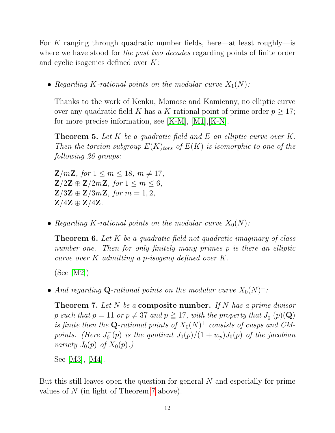For K ranging through quadratic number fields, here—at least roughly—is where we have stood for the past two decades regarding points of finite order and cyclic isogenies defined over K:

• Regarding K-rational points on the modular curve  $X_1(N)$ :

Thanks to the work of Kenku, Momose and Kamienny, no elliptic curve over any quadratic field K has a K-rational point of prime order  $p \geq 17$ ; for more precise information, see [\[K-M\]](#page-15-7), [\[M1\]](#page-15-8),[\[K-N\]](#page-15-9).

**Theorem 5.** Let K be a quadratic field and E an elliptic curve over K. Then the torsion subgroup  $E(K)_{tors}$  of  $E(K)$  is isomorphic to one of the following 26 groups:

 $\mathbf{Z}/m\mathbf{Z}$ , for  $1 \leq m \leq 18$ ,  $m \neq 17$ ,  $\mathbf{Z}/2\mathbf{Z} \oplus \mathbf{Z}/2m\mathbf{Z}$ , for  $1 \leq m \leq 6$ ,  $\mathbf{Z}/3\mathbf{Z} \oplus \mathbf{Z}/3m\mathbf{Z}$ , for  $m = 1, 2$ ,  $\mathbf{Z}/4\mathbf{Z} \oplus \mathbf{Z}/4\mathbf{Z}$ .

• Regarding K-rational points on the modular curve  $X_0(N)$ :

**Theorem 6.** Let K be a quadratic field not quadratic imaginary of class number one. Then for only finitely many primes p is there an elliptic curve over K admitting a p-isogeny defined over K.

(See [\[M2\]](#page-16-4))

• And regarding Q-rational points on the modular curve  $X_0(N)^+$ :

<span id="page-11-0"></span>**Theorem 7.** Let N be a **composite number.** If N has a prime divisor p such that  $p = 11$  or  $p \neq 37$  and  $p \geq 17$ , with the property that  $J_0^ _0^-(p)(\mathbf{Q})$ is finite then the Q-rational points of  $X_0(N)^+$  consists of cusps and CMpoints. (Here  $J_0^ U_0^-(p)$  is the quotient  $J_0(p)/(1+w_p)J_0(p)$  of the jacobian variety  $J_0(p)$  of  $X_0(p)$ .

See [\[M3\]](#page-16-5), [\[M4\]](#page-16-6).

But this still leaves open the question for general N and especially for prime values of N (in light of Theorem [7](#page-11-0) above).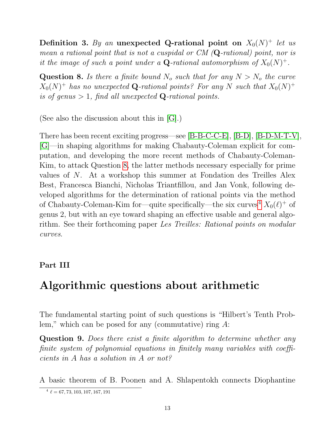Definition 3. By an unexpected Q-rational point on  $X_0(N)^+$  let us mean a rational point that is not a cuspidal or CM (Q-rational) point, nor is it the image of such a point under a **Q**-rational automorphism of  $X_0(N)^+$ .

<span id="page-12-0"></span>**Question 8.** Is there a finite bound  $N_o$  such that for any  $N > N_o$  the curve  $X_0(N)^+$  has no unexpected Q-rational points? For any N such that  $X_0(N)^+$ is of genus  $> 1$ , find all unexpected **Q**-rational points.

(See also the discussion about this in [\[G\]](#page-15-10).)

There has been recent exciting progress—see [\[B-B-C-C-E\]](#page-15-11), [\[B-D\]](#page-15-12), [\[B-D-M-T-V\]](#page-15-5), [\[G\]](#page-15-10)—in shaping algorithms for making Chabauty-Coleman explicit for computation, and developing the more recent methods of Chabauty-Coleman-Kim, to attack Question [8,](#page-12-0) the latter methods necessary especially for prime values of N. At a workshop this summer at Fondation des Treilles Alex Best, Francesca Bianchi, Nicholas Triantfillou, and Jan Vonk, following developed algorithms for the determination of rational points via the method of Chabauty-Coleman-Kim for—quite specifically—the six curves<sup>[4](#page-12-1)</sup>  $X_0(\ell)^+$  of genus 2, but with an eye toward shaping an effective usable and general algorithm. See their forthcoming paper Les Treilles: Rational points on modular curves.

#### Part III

## Algorithmic questions about arithmetic

The fundamental starting point of such questions is "Hilbert's Tenth Problem," which can be posed for any (commutative) ring  $A$ :

<span id="page-12-2"></span>Question 9. Does there exist a finite algorithm to determine whether any finite system of polynomial equations in finitely many variables with coefficients in A has a solution in A or not?

A basic theorem of B. Poonen and A. Shlapentokh connects Diophantine

<span id="page-12-1"></span> $^4 \ell = 67, 73, 103, 107, 167, 191$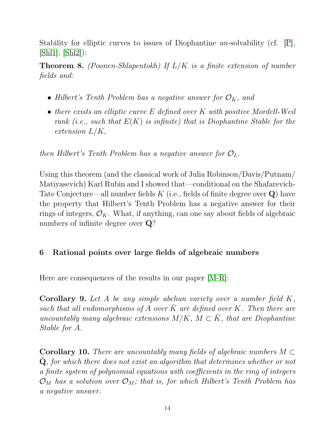Stability for elliptic curves to issues of Diophantine un-solvability (cf.  $|P|$ , [\[Shl1\]](#page-16-8), [\[Shl2\]](#page-16-9)):

**Theorem 8.** (Poonen-Shlapentokh) If  $L/K$  is a finite extension of number fields and:

- Hilbert's Tenth Problem has a negative answer for  $\mathcal{O}_K$ , and
- there exists an elliptic curve E defined over K with positive Mordell-Weil rank (i.e., such that  $E(K)$  is infinite) that is Diophantine Stable for the extension  $L/K$ ,

then Hilbert's Tenth Problem has a negative answer for  $\mathcal{O}_L$ .

Using this theorem (and the classical work of Julia Robinson/Davis/Putnam/ Matiyasevich) Karl Rubin and I showed that—conditional on the Shafarevich-Tate Conjecture—all number fields K (i.e., fields of finite degree over  $Q$ ) have the property that Hilbert's Tenth Problem has a negative answer for their rings of integers,  $\mathcal{O}_K$ . What, if anything, can one say about fields of algebraic numbers of infinite degree over Q?

#### 6 Rational points over large fields of algebraic numbers

Here are consequences of the results in our paper [\[M-R\]](#page-15-3):

Corollary 9. Let A be any simple abelian variety over a number field K, such that all endomorphisms of A over  $\bar{K}$  are defined over K. Then there are uncountably many algebraic extensions  $M/K$ ,  $M \subset \overline{K}$ , that are Diophantine Stable for A.

**Corollary 10.** There are uncountably many fields of algebraic numbers  $M \subset$  $Q$ , for which there does not exist an algorithm that determines whether or not a finite system of polynomial equations with coefficients in the ring of integers  $\mathcal{O}_M$  has a solution over  $\mathcal{O}_M$ ; that is, for which Hilbert's Tenth Problem has a negative answer.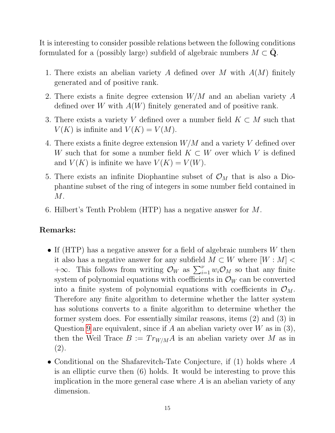It is interesting to consider possible relations between the following conditions formulated for a (possibly large) subfield of algebraic numbers  $M \subset \mathbf{Q}$ .

- 1. There exists an abelian variety A defined over M with  $A(M)$  finitely generated and of positive rank.
- 2. There exists a finite degree extension W/M and an abelian variety A defined over W with  $A(W)$  finitely generated and of positive rank.
- 3. There exists a variety V defined over a number field  $K \subset M$  such that  $V(K)$  is infinite and  $V(K) = V(M)$ .
- 4. There exists a finite degree extension  $W/M$  and a variety V defined over W such that for some a number field  $K \subset W$  over which V is defined and  $V(K)$  is infinite we have  $V(K) = V(W)$ .
- 5. There exists an infinite Diophantine subset of  $\mathcal{O}_M$  that is also a Diophantine subset of the ring of integers in some number field contained in  $M$ .
- 6. Hilbert's Tenth Problem (HTP) has a negative answer for M.

#### Remarks:

- If (HTP) has a negative answer for a field of algebraic numbers  $W$  then it also has a negative answer for any subfield  $M \subset W$  where  $[W : M]$  $+\infty$ . This follows from writing  $\mathcal{O}_W$  as  $\sum_{i=1}^{\nu} w_i \mathcal{O}_M$  so that any finite system of polynomial equations with coefficients in  $\mathcal{O}_W$  can be converted into a finite system of polynomial equations with coefficients in  $\mathcal{O}_M$ . Therefore any finite algorithm to determine whether the latter system has solutions converts to a finite algorithm to determine whether the former system does. For essentially similar reasons, items (2) and (3) in Question [9](#page-12-2) are equivalent, since if A an abelian variety over W as in  $(3)$ , then the Weil Trace  $B := Tr_{W/M}A$  is an abelian variety over M as in (2).
- Conditional on the Shafarevitch-Tate Conjecture, if (1) holds where A is an elliptic curve then (6) holds. It would be interesting to prove this implication in the more general case where  $A$  is an abelian variety of any dimension.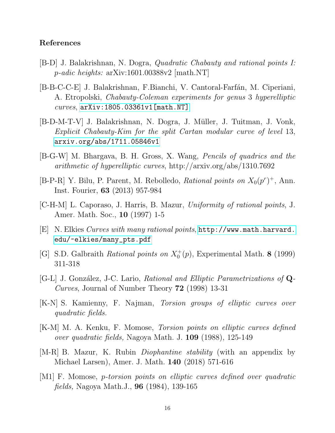#### References

- <span id="page-15-12"></span>[B-D] J. Balakrishnan, N. Dogra, Quadratic Chabauty and rational points I: p-adic heights: arXiv:1601.00388v2 [math.NT]
- <span id="page-15-11"></span>[B-B-C-C-E] J. Balakrishnan, F.Bianchi, V. Cantoral-Farfán, M. Ciperiani, A. Etropolski, Chabauty-Coleman experiments for genus 3 hyperelliptic  $curves$ ,  $arXiv:1805.03361v1$ [math.NT]
- <span id="page-15-5"></span>[B-D-M-T-V] J. Balakrishnan, N. Dogra, J. Müller, J. Tuitman, J. Vonk, Explicit Chabauty-Kim for the split Cartan modular curve of level 13, <arxiv.org/abs/1711.05846v1>
- <span id="page-15-0"></span>[B-G-W] M. Bhargava, B. H. Gross, X. Wang, Pencils of quadrics and the arithmetic of hyperelliptic curves, http://arxiv.org/abs/1310.7692
- <span id="page-15-4"></span>[B-P-R] Y. Bilu, P. Parent, M. Rebolledo, *Rational points on*  $X_0(p^r)^+$ , Ann. Inst. Fourier, 63 (2013) 957-984
- <span id="page-15-1"></span>[C-H-M] L. Caporaso, J. Harris, B. Mazur, Uniformity of rational points, J. Amer. Math. Soc., 10 (1997) 1-5
- <span id="page-15-2"></span>[E] N. Elkies Curves with many rational points, [http://www.math.harvard.](http://www.math.harvard.edu/~elkies/many_pts.pdf) [edu/~elkies/many\\_pts.pdf](http://www.math.harvard.edu/~elkies/many_pts.pdf)
- <span id="page-15-10"></span>[G] S.D. Galbraith Rational points on  $X_0^+(p)$ , Experimental Math. 8 (1999) 311-318
- <span id="page-15-6"></span>[G-L] J. González, J-C. Lario, Rational and Elliptic Parametrizations of Q-Curves, Journal of Number Theory 72 (1998) 13-31
- <span id="page-15-9"></span>[K-N] S. Kamienny, F. Najman, Torsion groups of elliptic curves over quadratic fields.
- <span id="page-15-7"></span>[K-M] M. A. Kenku, F. Momose, Torsion points on elliptic curves defined over quadratic fields, Nagoya Math. J. 109 (1988), 125-149
- <span id="page-15-3"></span>[M-R] B. Mazur, K. Rubin *Diophantine stability* (with an appendix by Michael Larsen), Amer. J. Math. 140 (2018) 571-616
- <span id="page-15-8"></span>[M1] F. Momose, p-torsion points on elliptic curves defined over quadratic fields, Nagoya Math.J., 96 (1984), 139-165